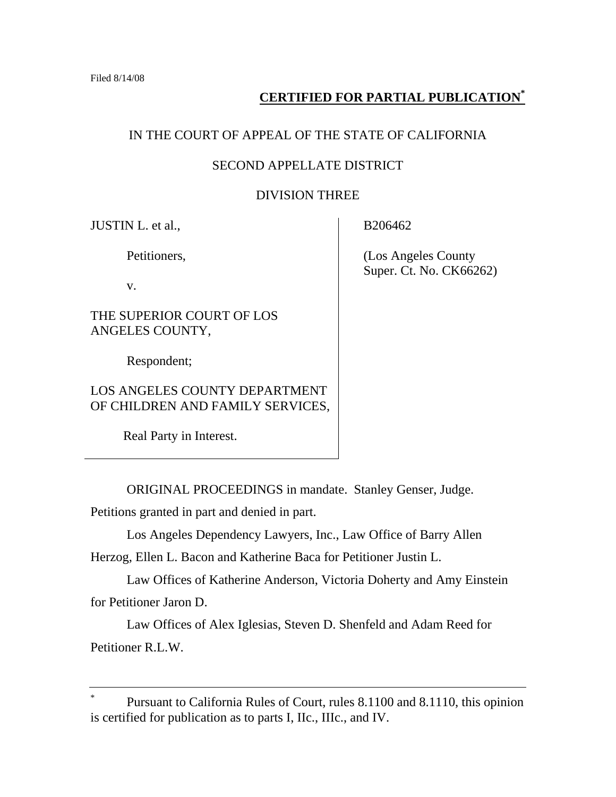## **CERTIFIED FOR PARTIAL PUBLICATION\***

## IN THE COURT OF APPEAL OF THE STATE OF CALIFORNIA

## SECOND APPELLATE DISTRICT

## DIVISION THREE

JUSTIN L. et al.,

Petitioners,

v.

THE SUPERIOR COURT OF LOS ANGELES COUNTY,

Respondent;

## LOS ANGELES COUNTY DEPARTMENT OF CHILDREN AND FAMILY SERVICES,

Real Party in Interest.

ORIGINAL PROCEEDINGS in mandate. Stanley Genser, Judge.

Petitions granted in part and denied in part.

Los Angeles Dependency Lawyers, Inc., Law Office of Barry Allen

Herzog, Ellen L. Bacon and Katherine Baca for Petitioner Justin L.

 Law Offices of Katherine Anderson, Victoria Doherty and Amy Einstein for Petitioner Jaron D.

 Law Offices of Alex Iglesias, Steven D. Shenfeld and Adam Reed for Petitioner R.L.W.

B206462

 (Los Angeles County Super. Ct. No. CK66262)

<sup>\*</sup> Pursuant to California Rules of Court, rules 8.1100 and 8.1110, this opinion is certified for publication as to parts I, IIc., IIIc., and IV.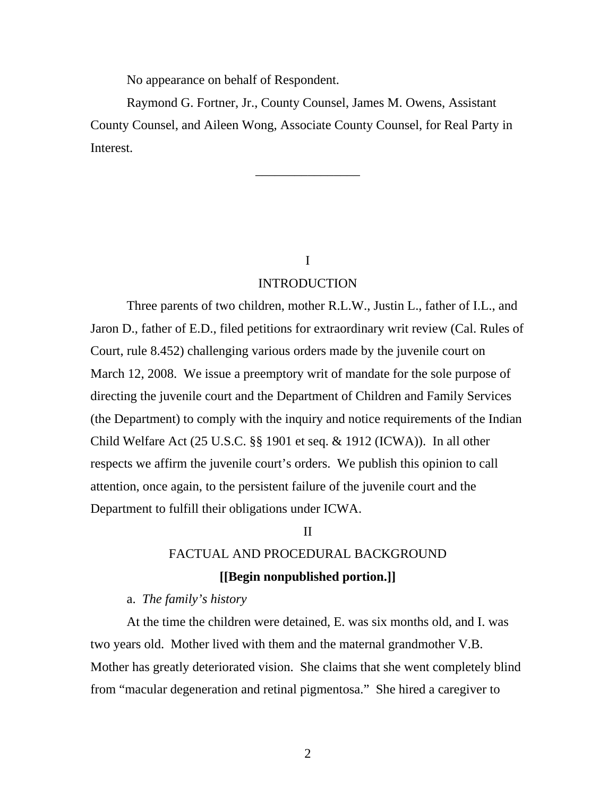No appearance on behalf of Respondent.

 Raymond G. Fortner, Jr., County Counsel, James M. Owens, Assistant County Counsel, and Aileen Wong, Associate County Counsel, for Real Party in Interest.

\_\_\_\_\_\_\_\_\_\_\_\_\_\_\_\_

I

## INTRODUCTION

 Three parents of two children, mother R.L.W., Justin L., father of I.L., and Jaron D., father of E.D., filed petitions for extraordinary writ review (Cal. Rules of Court, rule 8.452) challenging various orders made by the juvenile court on March 12, 2008. We issue a preemptory writ of mandate for the sole purpose of directing the juvenile court and the Department of Children and Family Services (the Department) to comply with the inquiry and notice requirements of the Indian Child Welfare Act (25 U.S.C. §§ 1901 et seq. & 1912 (ICWA)). In all other respects we affirm the juvenile court's orders. We publish this opinion to call attention, once again, to the persistent failure of the juvenile court and the Department to fulfill their obligations under ICWA.

#### II

# FACTUAL AND PROCEDURAL BACKGROUND **[[Begin nonpublished portion.]]**

### a. *The family's history*

 At the time the children were detained, E. was six months old, and I. was two years old. Mother lived with them and the maternal grandmother V.B. Mother has greatly deteriorated vision. She claims that she went completely blind from "macular degeneration and retinal pigmentosa." She hired a caregiver to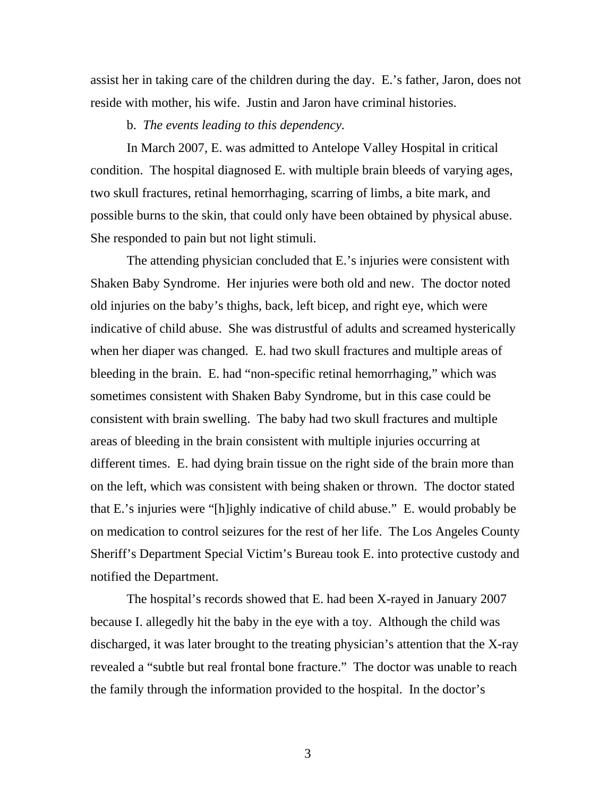assist her in taking care of the children during the day. E.'s father, Jaron, does not reside with mother, his wife. Justin and Jaron have criminal histories.

#### b. *The events leading to this dependency.*

 In March 2007, E. was admitted to Antelope Valley Hospital in critical condition. The hospital diagnosed E. with multiple brain bleeds of varying ages, two skull fractures, retinal hemorrhaging, scarring of limbs, a bite mark, and possible burns to the skin, that could only have been obtained by physical abuse. She responded to pain but not light stimuli.

 The attending physician concluded that E.'s injuries were consistent with Shaken Baby Syndrome. Her injuries were both old and new. The doctor noted old injuries on the baby's thighs, back, left bicep, and right eye, which were indicative of child abuse. She was distrustful of adults and screamed hysterically when her diaper was changed. E. had two skull fractures and multiple areas of bleeding in the brain. E. had "non-specific retinal hemorrhaging," which was sometimes consistent with Shaken Baby Syndrome, but in this case could be consistent with brain swelling. The baby had two skull fractures and multiple areas of bleeding in the brain consistent with multiple injuries occurring at different times. E. had dying brain tissue on the right side of the brain more than on the left, which was consistent with being shaken or thrown. The doctor stated that E.'s injuries were "[h]ighly indicative of child abuse." E. would probably be on medication to control seizures for the rest of her life. The Los Angeles County Sheriff's Department Special Victim's Bureau took E. into protective custody and notified the Department.

 The hospital's records showed that E. had been X-rayed in January 2007 because I. allegedly hit the baby in the eye with a toy. Although the child was discharged, it was later brought to the treating physician's attention that the X-ray revealed a "subtle but real frontal bone fracture." The doctor was unable to reach the family through the information provided to the hospital. In the doctor's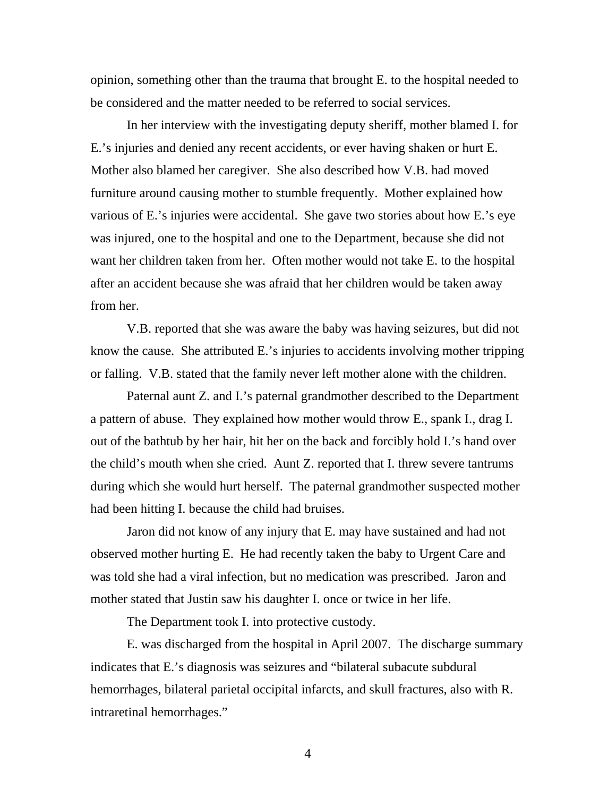opinion, something other than the trauma that brought E. to the hospital needed to be considered and the matter needed to be referred to social services.

 In her interview with the investigating deputy sheriff, mother blamed I. for E.'s injuries and denied any recent accidents, or ever having shaken or hurt E. Mother also blamed her caregiver. She also described how V.B. had moved furniture around causing mother to stumble frequently. Mother explained how various of E.'s injuries were accidental. She gave two stories about how E.'s eye was injured, one to the hospital and one to the Department, because she did not want her children taken from her. Often mother would not take E. to the hospital after an accident because she was afraid that her children would be taken away from her.

 V.B. reported that she was aware the baby was having seizures, but did not know the cause. She attributed E.'s injuries to accidents involving mother tripping or falling. V.B. stated that the family never left mother alone with the children.

 Paternal aunt Z. and I.'s paternal grandmother described to the Department a pattern of abuse. They explained how mother would throw E., spank I., drag I. out of the bathtub by her hair, hit her on the back and forcibly hold I.'s hand over the child's mouth when she cried. Aunt Z. reported that I. threw severe tantrums during which she would hurt herself. The paternal grandmother suspected mother had been hitting I. because the child had bruises.

 Jaron did not know of any injury that E. may have sustained and had not observed mother hurting E. He had recently taken the baby to Urgent Care and was told she had a viral infection, but no medication was prescribed. Jaron and mother stated that Justin saw his daughter I. once or twice in her life.

The Department took I. into protective custody.

 E. was discharged from the hospital in April 2007. The discharge summary indicates that E.'s diagnosis was seizures and "bilateral subacute subdural hemorrhages, bilateral parietal occipital infarcts, and skull fractures, also with R. intraretinal hemorrhages."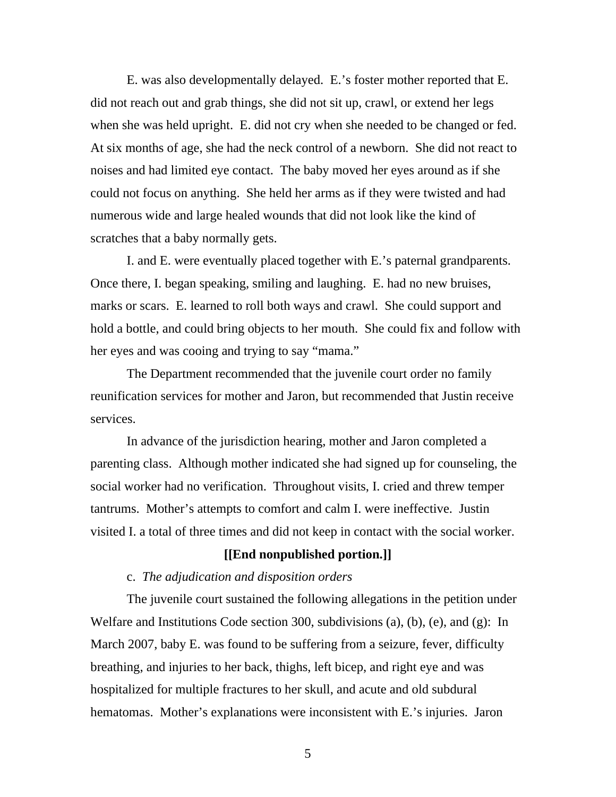E. was also developmentally delayed. E.'s foster mother reported that E. did not reach out and grab things, she did not sit up, crawl, or extend her legs when she was held upright. E. did not cry when she needed to be changed or fed. At six months of age, she had the neck control of a newborn. She did not react to noises and had limited eye contact. The baby moved her eyes around as if she could not focus on anything. She held her arms as if they were twisted and had numerous wide and large healed wounds that did not look like the kind of scratches that a baby normally gets.

 I. and E. were eventually placed together with E.'s paternal grandparents. Once there, I. began speaking, smiling and laughing. E. had no new bruises, marks or scars. E. learned to roll both ways and crawl. She could support and hold a bottle, and could bring objects to her mouth. She could fix and follow with her eyes and was cooing and trying to say "mama."

 The Department recommended that the juvenile court order no family reunification services for mother and Jaron, but recommended that Justin receive services.

 In advance of the jurisdiction hearing, mother and Jaron completed a parenting class. Although mother indicated she had signed up for counseling, the social worker had no verification. Throughout visits, I. cried and threw temper tantrums. Mother's attempts to comfort and calm I. were ineffective. Justin visited I. a total of three times and did not keep in contact with the social worker.

## **[[End nonpublished portion.]]**

### c. *The adjudication and disposition orders*

 The juvenile court sustained the following allegations in the petition under Welfare and Institutions Code section 300, subdivisions (a), (b), (e), and (g): In March 2007, baby E. was found to be suffering from a seizure, fever, difficulty breathing, and injuries to her back, thighs, left bicep, and right eye and was hospitalized for multiple fractures to her skull, and acute and old subdural hematomas. Mother's explanations were inconsistent with E.'s injuries. Jaron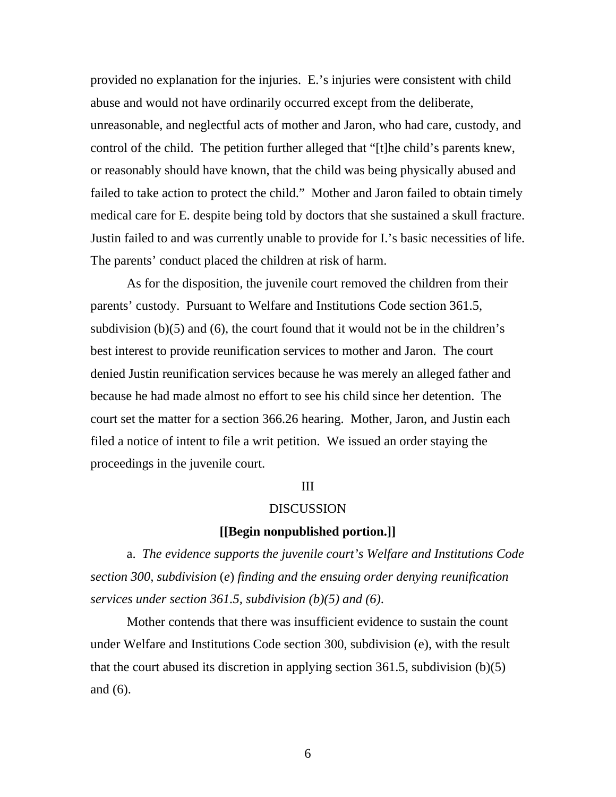provided no explanation for the injuries. E.'s injuries were consistent with child abuse and would not have ordinarily occurred except from the deliberate, unreasonable, and neglectful acts of mother and Jaron, who had care, custody, and control of the child. The petition further alleged that "[t]he child's parents knew, or reasonably should have known, that the child was being physically abused and failed to take action to protect the child." Mother and Jaron failed to obtain timely medical care for E. despite being told by doctors that she sustained a skull fracture. Justin failed to and was currently unable to provide for I.'s basic necessities of life. The parents' conduct placed the children at risk of harm.

 As for the disposition, the juvenile court removed the children from their parents' custody. Pursuant to Welfare and Institutions Code section 361.5, subdivision (b)(5) and (6), the court found that it would not be in the children's best interest to provide reunification services to mother and Jaron. The court denied Justin reunification services because he was merely an alleged father and because he had made almost no effort to see his child since her detention. The court set the matter for a section 366.26 hearing. Mother, Jaron, and Justin each filed a notice of intent to file a writ petition. We issued an order staying the proceedings in the juvenile court.

#### III

## DISCUSSION

## **[[Begin nonpublished portion.]]**

 a. *The evidence supports the juvenile court's Welfare and Institutions Code section 300, subdivision* (*e*) *finding and the ensuing order denying reunification services under section 361.5, subdivision (b)(5) and (6)*.

 Mother contends that there was insufficient evidence to sustain the count under Welfare and Institutions Code section 300, subdivision (e), with the result that the court abused its discretion in applying section 361.5, subdivision (b)(5) and (6).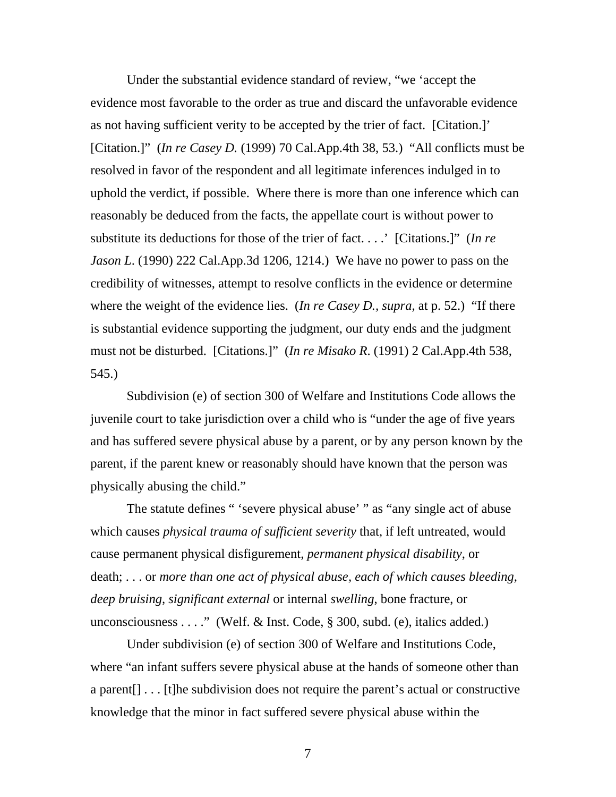Under the substantial evidence standard of review, "we 'accept the evidence most favorable to the order as true and discard the unfavorable evidence as not having sufficient verity to be accepted by the trier of fact. [Citation.]' [Citation.]" (*In re Casey D.* (1999) 70 Cal.App.4th 38, 53.) "All conflicts must be resolved in favor of the respondent and all legitimate inferences indulged in to uphold the verdict, if possible. Where there is more than one inference which can reasonably be deduced from the facts, the appellate court is without power to substitute its deductions for those of the trier of fact. . . .' [Citations.]" (*In re Jason L*. (1990) 222 Cal.App.3d 1206, 1214.) We have no power to pass on the credibility of witnesses, attempt to resolve conflicts in the evidence or determine where the weight of the evidence lies. (*In re Casey D., supra,* at p. 52.) "If there is substantial evidence supporting the judgment, our duty ends and the judgment must not be disturbed. [Citations.]" (*In re Misako R*. (1991) 2 Cal.App.4th 538, 545.)

 Subdivision (e) of section 300 of Welfare and Institutions Code allows the juvenile court to take jurisdiction over a child who is "under the age of five years and has suffered severe physical abuse by a parent, or by any person known by the parent, if the parent knew or reasonably should have known that the person was physically abusing the child."

 The statute defines " 'severe physical abuse' " as "any single act of abuse which causes *physical trauma of sufficient severity* that, if left untreated, would cause permanent physical disfigurement, *permanent physical disability*, or death; . . . or *more than one act of physical abuse, each of which causes bleeding, deep bruising, significant external* or internal *swelling*, bone fracture, or unconsciousness . . . ." (Welf. & Inst. Code,  $\S$  300, subd. (e), italics added.)

 Under subdivision (e) of section 300 of Welfare and Institutions Code, where "an infant suffers severe physical abuse at the hands of someone other than a parent[] . . . [t]he subdivision does not require the parent's actual or constructive knowledge that the minor in fact suffered severe physical abuse within the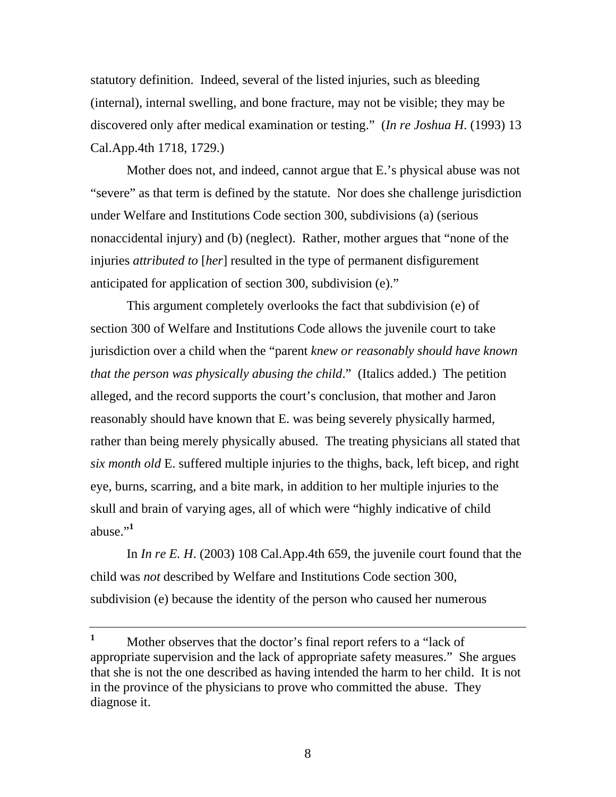statutory definition. Indeed, several of the listed injuries, such as bleeding (internal), internal swelling, and bone fracture, may not be visible; they may be discovered only after medical examination or testing." (*In re Joshua H*. (1993) 13 Cal.App.4th 1718, 1729.)

 Mother does not, and indeed, cannot argue that E.'s physical abuse was not "severe" as that term is defined by the statute. Nor does she challenge jurisdiction under Welfare and Institutions Code section 300, subdivisions (a) (serious nonaccidental injury) and (b) (neglect). Rather, mother argues that "none of the injuries *attributed to* [*her*] resulted in the type of permanent disfigurement anticipated for application of section 300, subdivision (e)."

 This argument completely overlooks the fact that subdivision (e) of section 300 of Welfare and Institutions Code allows the juvenile court to take jurisdiction over a child when the "parent *knew or reasonably should have known that the person was physically abusing the child*." (Italics added.) The petition alleged, and the record supports the court's conclusion, that mother and Jaron reasonably should have known that E. was being severely physically harmed, rather than being merely physically abused. The treating physicians all stated that *six month old* E. suffered multiple injuries to the thighs, back, left bicep, and right eye, burns, scarring, and a bite mark, in addition to her multiple injuries to the skull and brain of varying ages, all of which were "highly indicative of child abuse."<sup>1</sup>

 In *In re E. H*. (2003) 108 Cal.App.4th 659, the juvenile court found that the child was *not* described by Welfare and Institutions Code section 300, subdivision (e) because the identity of the person who caused her numerous

**<sup>1</sup>** Mother observes that the doctor's final report refers to a "lack of appropriate supervision and the lack of appropriate safety measures." She argues that she is not the one described as having intended the harm to her child. It is not in the province of the physicians to prove who committed the abuse. They diagnose it.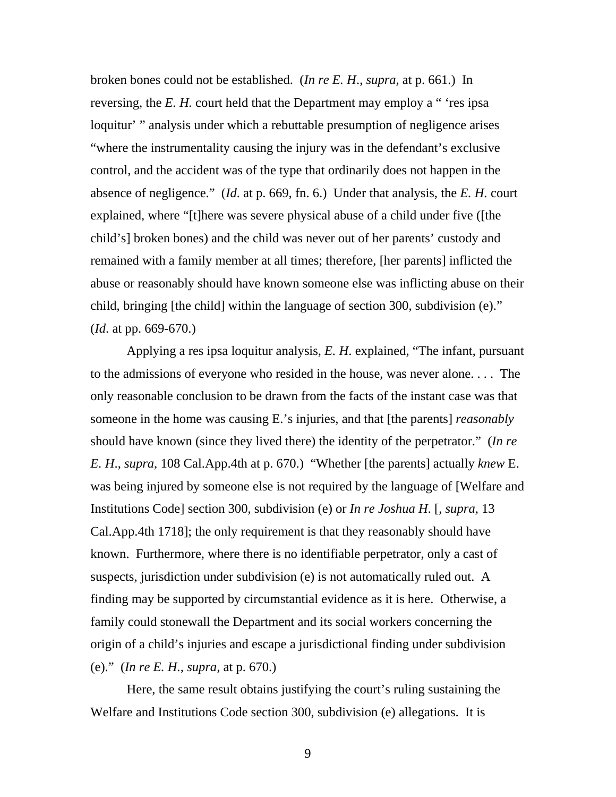broken bones could not be established. (*In re E. H*., *supra,* at p. 661.) In reversing, the *E. H.* court held that the Department may employ a " 'res ipsa loquitur' " analysis under which a rebuttable presumption of negligence arises "where the instrumentality causing the injury was in the defendant's exclusive control, and the accident was of the type that ordinarily does not happen in the absence of negligence." (*Id*. at p. 669, fn. 6.) Under that analysis, the *E. H.* court explained, where "[t]here was severe physical abuse of a child under five ([the child's] broken bones) and the child was never out of her parents' custody and remained with a family member at all times; therefore, [her parents] inflicted the abuse or reasonably should have known someone else was inflicting abuse on their child, bringing [the child] within the language of section 300, subdivision (e)." (*Id*. at pp. 669-670.)

 Applying a res ipsa loquitur analysis, *E. H*. explained, "The infant, pursuant to the admissions of everyone who resided in the house, was never alone. . . . The only reasonable conclusion to be drawn from the facts of the instant case was that someone in the home was causing E.'s injuries, and that [the parents] *reasonably* should have known (since they lived there) the identity of the perpetrator." (*In re E. H*., *supra*, 108 Cal.App.4th at p. 670.) "Whether [the parents] actually *knew* E. was being injured by someone else is not required by the language of [Welfare and Institutions Code] section 300, subdivision (e) or *In re Joshua H*. [, *supra,* 13 Cal.App.4th 1718]; the only requirement is that they reasonably should have known. Furthermore, where there is no identifiable perpetrator, only a cast of suspects, jurisdiction under subdivision (e) is not automatically ruled out. A finding may be supported by circumstantial evidence as it is here. Otherwise, a family could stonewall the Department and its social workers concerning the origin of a child's injuries and escape a jurisdictional finding under subdivision (e)." (*In re E. H., supra,* at p. 670.)

 Here, the same result obtains justifying the court's ruling sustaining the Welfare and Institutions Code section 300, subdivision (e) allegations. It is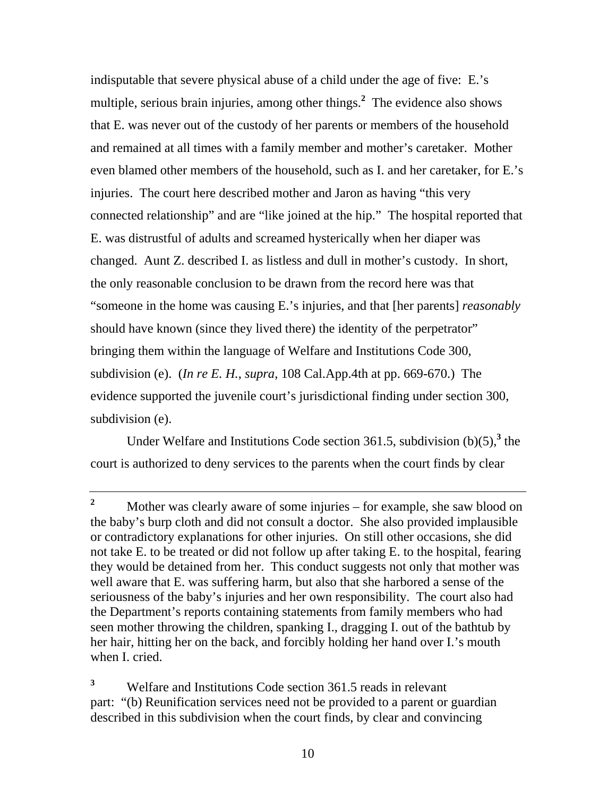indisputable that severe physical abuse of a child under the age of five: E.'s multiple, serious brain injuries, among other things.**<sup>2</sup>** The evidence also shows that E. was never out of the custody of her parents or members of the household and remained at all times with a family member and mother's caretaker. Mother even blamed other members of the household, such as I. and her caretaker, for E.'s injuries. The court here described mother and Jaron as having "this very connected relationship" and are "like joined at the hip." The hospital reported that E. was distrustful of adults and screamed hysterically when her diaper was changed. Aunt Z. described I. as listless and dull in mother's custody. In short, the only reasonable conclusion to be drawn from the record here was that "someone in the home was causing E.'s injuries, and that [her parents] *reasonably* should have known (since they lived there) the identity of the perpetrator" bringing them within the language of Welfare and Institutions Code 300, subdivision (e). (*In re E. H.*, *supra*, 108 Cal.App.4th at pp. 669-670.) The evidence supported the juvenile court's jurisdictional finding under section 300, subdivision (e).

Under Welfare and Institutions Code section 361.5, subdivision  $(b)(5)$ <sup>3</sup>, the court is authorized to deny services to the parents when the court finds by clear

**3** Welfare and Institutions Code section 361.5 reads in relevant part: "(b) Reunification services need not be provided to a parent or guardian described in this subdivision when the court finds, by clear and convincing

**<sup>2</sup>** Mother was clearly aware of some injuries – for example, she saw blood on the baby's burp cloth and did not consult a doctor. She also provided implausible or contradictory explanations for other injuries. On still other occasions, she did not take E. to be treated or did not follow up after taking E. to the hospital, fearing they would be detained from her. This conduct suggests not only that mother was well aware that E. was suffering harm, but also that she harbored a sense of the seriousness of the baby's injuries and her own responsibility. The court also had the Department's reports containing statements from family members who had seen mother throwing the children, spanking I., dragging I. out of the bathtub by her hair, hitting her on the back, and forcibly holding her hand over I.'s mouth when I. cried.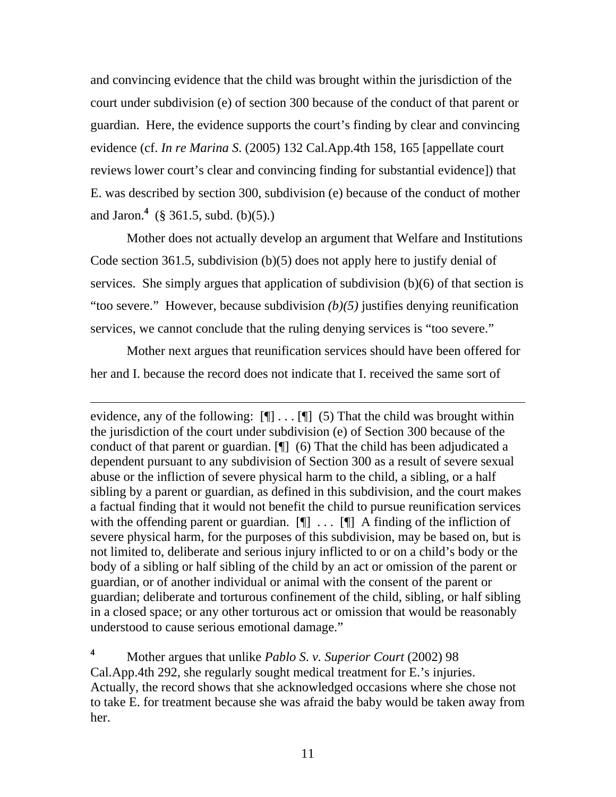and convincing evidence that the child was brought within the jurisdiction of the court under subdivision (e) of section 300 because of the conduct of that parent or guardian. Here, the evidence supports the court's finding by clear and convincing evidence (cf. *In re Marina S*. (2005) 132 Cal.App.4th 158, 165 [appellate court reviews lower court's clear and convincing finding for substantial evidence]) that E. was described by section 300, subdivision (e) because of the conduct of mother and Jaron.**<sup>4</sup>** (§ 361.5, subd. (b)(5).)

 Mother does not actually develop an argument that Welfare and Institutions Code section 361.5, subdivision (b)(5) does not apply here to justify denial of services. She simply argues that application of subdivision (b)(6) of that section is "too severe." However, because subdivision *(b)(5)* justifies denying reunification services, we cannot conclude that the ruling denying services is "too severe."

 Mother next argues that reunification services should have been offered for her and I. because the record does not indicate that I. received the same sort of

 $\overline{a}$ 

evidence, any of the following:  $[\P] \dots [\P]$  (5) That the child was brought within the jurisdiction of the court under subdivision (e) of Section 300 because of the conduct of that parent or guardian. [¶] (6) That the child has been adjudicated a dependent pursuant to any subdivision of Section 300 as a result of severe sexual abuse or the infliction of severe physical harm to the child, a sibling, or a half sibling by a parent or guardian, as defined in this subdivision, and the court makes a factual finding that it would not benefit the child to pursue reunification services with the offending parent or guardian.  $[\n\Pi]$  ...  $[\n\Pi]$  A finding of the infliction of severe physical harm, for the purposes of this subdivision, may be based on, but is not limited to, deliberate and serious injury inflicted to or on a child's body or the body of a sibling or half sibling of the child by an act or omission of the parent or guardian, or of another individual or animal with the consent of the parent or guardian; deliberate and torturous confinement of the child, sibling, or half sibling in a closed space; or any other torturous act or omission that would be reasonably understood to cause serious emotional damage."

**<sup>4</sup>** Mother argues that unlike *Pablo S*. *v. Superior Court* (2002) 98 Cal.App.4th 292, she regularly sought medical treatment for E.'s injuries. Actually, the record shows that she acknowledged occasions where she chose not to take E. for treatment because she was afraid the baby would be taken away from her.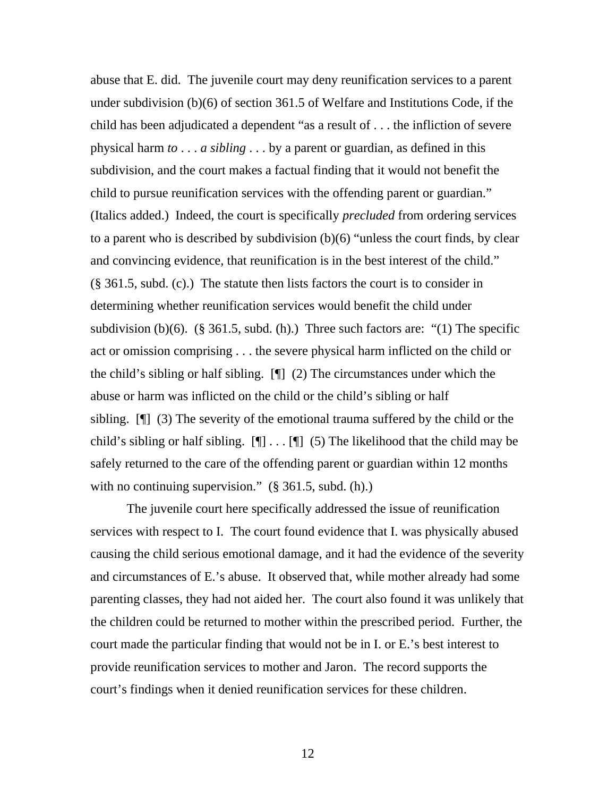abuse that E. did. The juvenile court may deny reunification services to a parent under subdivision (b)(6) of section 361.5 of Welfare and Institutions Code, if the child has been adjudicated a dependent "as a result of . . . the infliction of severe physical harm *to* . . . *a sibling* . . . by a parent or guardian, as defined in this subdivision, and the court makes a factual finding that it would not benefit the child to pursue reunification services with the offending parent or guardian." (Italics added.) Indeed, the court is specifically *precluded* from ordering services to a parent who is described by subdivision (b)(6) "unless the court finds, by clear and convincing evidence, that reunification is in the best interest of the child." (§ 361.5, subd. (c).) The statute then lists factors the court is to consider in determining whether reunification services would benefit the child under subdivision (b)(6). (§ 361.5, subd. (h).) Three such factors are: "(1) The specific act or omission comprising . . . the severe physical harm inflicted on the child or the child's sibling or half sibling. [¶] (2) The circumstances under which the abuse or harm was inflicted on the child or the child's sibling or half sibling. [¶] (3) The severity of the emotional trauma suffered by the child or the child's sibling or half sibling.  $[\P] \dots [\P]$  (5) The likelihood that the child may be safely returned to the care of the offending parent or guardian within 12 months with no continuing supervision."  $(\S 361.5, \S 361.6)$ .

 The juvenile court here specifically addressed the issue of reunification services with respect to I. The court found evidence that I. was physically abused causing the child serious emotional damage, and it had the evidence of the severity and circumstances of E.'s abuse. It observed that, while mother already had some parenting classes, they had not aided her. The court also found it was unlikely that the children could be returned to mother within the prescribed period. Further, the court made the particular finding that would not be in I. or E.'s best interest to provide reunification services to mother and Jaron. The record supports the court's findings when it denied reunification services for these children.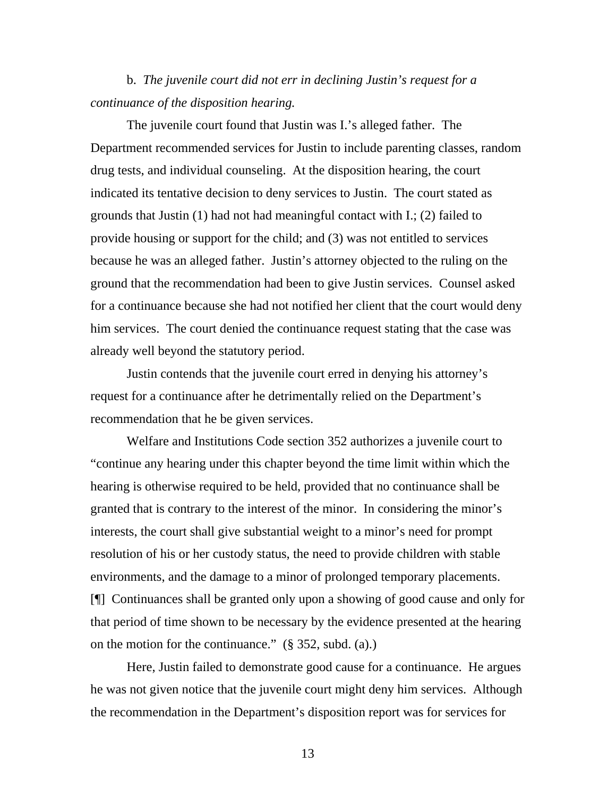b. *The juvenile court did not err in declining Justin's request for a continuance of the disposition hearing.*

 The juvenile court found that Justin was I.'s alleged father. The Department recommended services for Justin to include parenting classes, random drug tests, and individual counseling. At the disposition hearing, the court indicated its tentative decision to deny services to Justin. The court stated as grounds that Justin (1) had not had meaningful contact with I.; (2) failed to provide housing or support for the child; and (3) was not entitled to services because he was an alleged father. Justin's attorney objected to the ruling on the ground that the recommendation had been to give Justin services. Counsel asked for a continuance because she had not notified her client that the court would deny him services. The court denied the continuance request stating that the case was already well beyond the statutory period.

 Justin contends that the juvenile court erred in denying his attorney's request for a continuance after he detrimentally relied on the Department's recommendation that he be given services.

 Welfare and Institutions Code section 352 authorizes a juvenile court to "continue any hearing under this chapter beyond the time limit within which the hearing is otherwise required to be held, provided that no continuance shall be granted that is contrary to the interest of the minor. In considering the minor's interests, the court shall give substantial weight to a minor's need for prompt resolution of his or her custody status, the need to provide children with stable environments, and the damage to a minor of prolonged temporary placements. [¶] Continuances shall be granted only upon a showing of good cause and only for that period of time shown to be necessary by the evidence presented at the hearing on the motion for the continuance." (§ 352, subd. (a).)

 Here, Justin failed to demonstrate good cause for a continuance. He argues he was not given notice that the juvenile court might deny him services. Although the recommendation in the Department's disposition report was for services for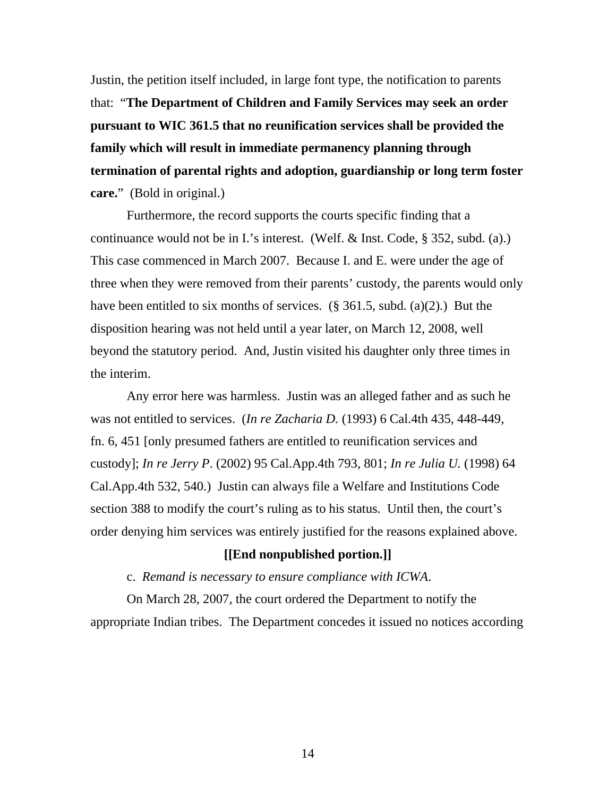Justin, the petition itself included, in large font type, the notification to parents that: "**The Department of Children and Family Services may seek an order pursuant to WIC 361.5 that no reunification services shall be provided the family which will result in immediate permanency planning through termination of parental rights and adoption, guardianship or long term foster care.**" (Bold in original.)

 Furthermore, the record supports the courts specific finding that a continuance would not be in I.'s interest. (Welf. & Inst. Code, § 352, subd. (a).) This case commenced in March 2007. Because I. and E. were under the age of three when they were removed from their parents' custody, the parents would only have been entitled to six months of services.  $(\S 361.5, \text{subd. (a)(2)})$  But the disposition hearing was not held until a year later, on March 12, 2008, well beyond the statutory period. And, Justin visited his daughter only three times in the interim.

 Any error here was harmless. Justin was an alleged father and as such he was not entitled to services. (*In re Zacharia D.* (1993) 6 Cal.4th 435, 448-449, fn. 6, 451 [only presumed fathers are entitled to reunification services and custody]; *In re Jerry P*. (2002) 95 Cal.App.4th 793, 801; *In re Julia U.* (1998) 64 Cal.App.4th 532, 540.) Justin can always file a Welfare and Institutions Code section 388 to modify the court's ruling as to his status. Until then, the court's order denying him services was entirely justified for the reasons explained above.

## **[[End nonpublished portion.]]**

c. *Remand is necessary to ensure compliance with ICWA*.

 On March 28, 2007, the court ordered the Department to notify the appropriate Indian tribes. The Department concedes it issued no notices according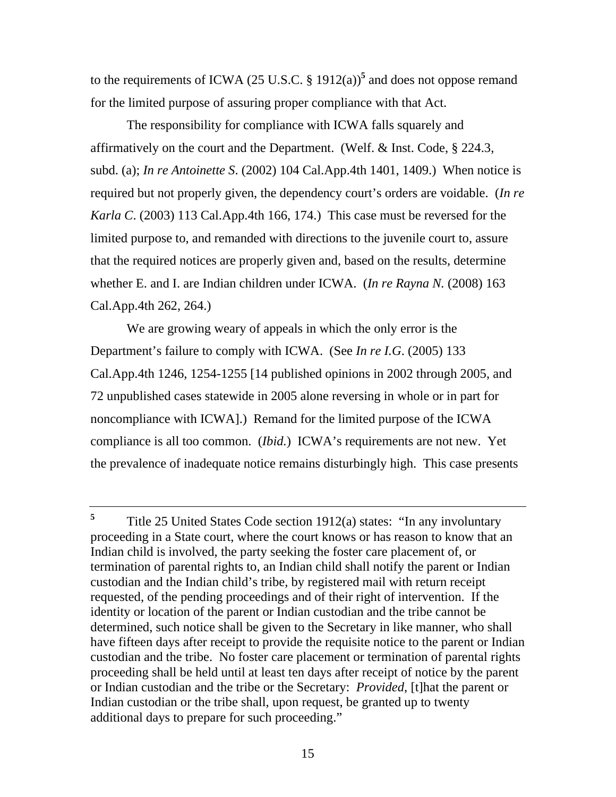to the requirements of ICWA (25 U.S.C.  $\S 1912(a)$ <sup>5</sup> and does not oppose remand for the limited purpose of assuring proper compliance with that Act.

 The responsibility for compliance with ICWA falls squarely and affirmatively on the court and the Department. (Welf. & Inst. Code, § 224.3, subd. (a); *In re Antoinette S*. (2002) 104 Cal.App.4th 1401, 1409.) When notice is required but not properly given, the dependency court's orders are voidable. (*In re Karla C*. (2003) 113 Cal.App.4th 166, 174.) This case must be reversed for the limited purpose to, and remanded with directions to the juvenile court to, assure that the required notices are properly given and, based on the results, determine whether E. and I. are Indian children under ICWA. (*In re Rayna N.* (2008) 163 Cal.App.4th 262, 264.)

 We are growing weary of appeals in which the only error is the Department's failure to comply with ICWA. (See *In re I.G*. (2005) 133 Cal.App.4th 1246, 1254-1255 [14 published opinions in 2002 through 2005, and 72 unpublished cases statewide in 2005 alone reversing in whole or in part for noncompliance with ICWA].) Remand for the limited purpose of the ICWA compliance is all too common. (*Ibid.*) ICWA's requirements are not new. Yet the prevalence of inadequate notice remains disturbingly high. This case presents

<sup>&</sup>lt;sup>5</sup> Title 25 United States Code section 1912(a) states: "In any involuntary proceeding in a State court, where the court knows or has reason to know that an Indian child is involved, the party seeking the foster care placement of, or termination of parental rights to, an Indian child shall notify the parent or Indian custodian and the Indian child's tribe, by registered mail with return receipt requested, of the pending proceedings and of their right of intervention. If the identity or location of the parent or Indian custodian and the tribe cannot be determined, such notice shall be given to the Secretary in like manner, who shall have fifteen days after receipt to provide the requisite notice to the parent or Indian custodian and the tribe. No foster care placement or termination of parental rights proceeding shall be held until at least ten days after receipt of notice by the parent or Indian custodian and the tribe or the Secretary: *Provided*, [t]hat the parent or Indian custodian or the tribe shall, upon request, be granted up to twenty additional days to prepare for such proceeding."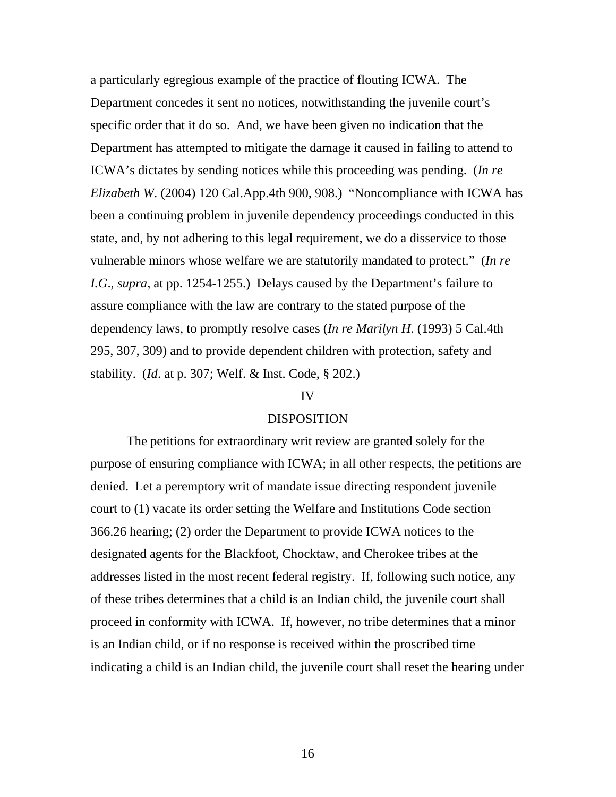a particularly egregious example of the practice of flouting ICWA. The Department concedes it sent no notices, notwithstanding the juvenile court's specific order that it do so. And, we have been given no indication that the Department has attempted to mitigate the damage it caused in failing to attend to ICWA's dictates by sending notices while this proceeding was pending. (*In re Elizabeth W*. (2004) 120 Cal.App.4th 900, 908.) "Noncompliance with ICWA has been a continuing problem in juvenile dependency proceedings conducted in this state, and, by not adhering to this legal requirement, we do a disservice to those vulnerable minors whose welfare we are statutorily mandated to protect." (*In re I.G*., *supra,* at pp. 1254-1255.) Delays caused by the Department's failure to assure compliance with the law are contrary to the stated purpose of the dependency laws, to promptly resolve cases (*In re Marilyn H*. (1993) 5 Cal.4th 295, 307, 309) and to provide dependent children with protection, safety and stability. (*Id*. at p. 307; Welf. & Inst. Code, § 202.)

#### IV

#### DISPOSITION

 The petitions for extraordinary writ review are granted solely for the purpose of ensuring compliance with ICWA; in all other respects, the petitions are denied. Let a peremptory writ of mandate issue directing respondent juvenile court to (1) vacate its order setting the Welfare and Institutions Code section 366.26 hearing; (2) order the Department to provide ICWA notices to the designated agents for the Blackfoot, Chocktaw, and Cherokee tribes at the addresses listed in the most recent federal registry. If, following such notice, any of these tribes determines that a child is an Indian child, the juvenile court shall proceed in conformity with ICWA. If, however, no tribe determines that a minor is an Indian child, or if no response is received within the proscribed time indicating a child is an Indian child, the juvenile court shall reset the hearing under